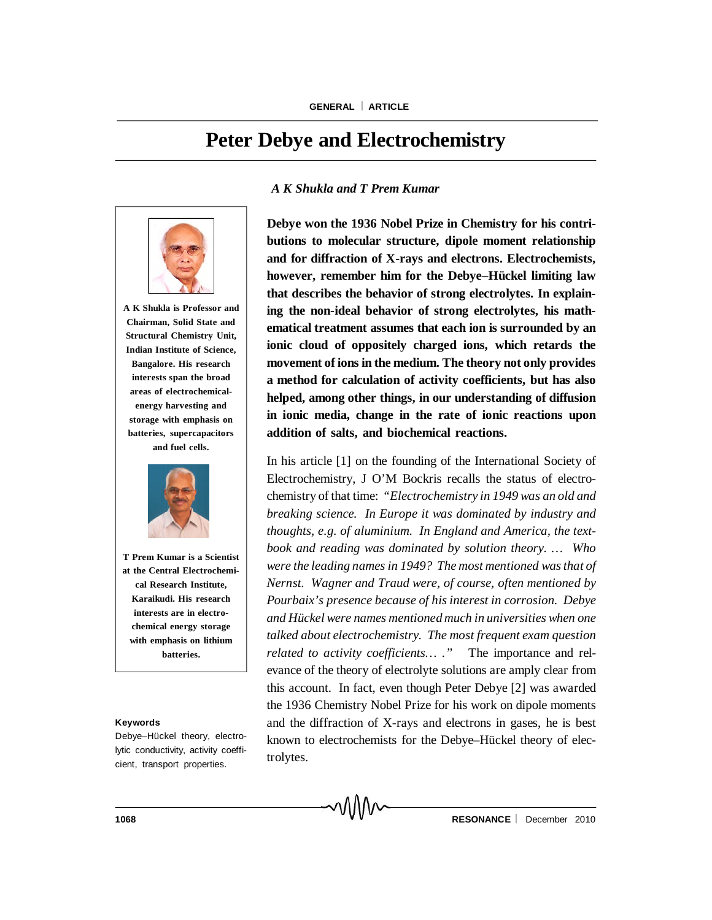# **Peter Debye and Electrochemistry**



**A K Shukla is Professor and Chairman, Solid State and Structural Chemistry Unit, Indian Institute of Science, Bangalore. His research interests span the broad areas of electrochemicalenergy harvesting and storage with emphasis on batteries, supercapacitors and fuel cells.**



**T Prem Kumar is a Scientist at the Central Electrochemical Research Institute, Karaikudi. His research interests are in electrochemical energy storage with emphasis on lithium batteries.**

#### **Keywords**

Debye–Hückel theory, electrolytic conductivity, activity coefficient, transport properties.

### *A K Shukla and T Prem Kumar*

**Debye won the 1936 Nobel Prize in Chemistry for his contributions to molecular structure, dipole moment relationship and for diffraction of X-rays and electrons. Electrochemists, however, remember him for the Debye–Hückel limiting law that describes the behavior of strong electrolytes. In explaining the non-ideal behavior of strong electrolytes, his mathematical treatment assumes that each ion is surrounded by an ionic cloud of oppositely charged ions, which retards the movement of ions in the medium. The theory not only provides a method for calculation of activity coefficients, but has also helped, among other things, in our understanding of diffusion in ionic media, change in the rate of ionic reactions upon addition of salts, and biochemical reactions.**

In his article [1] on the founding of the International Society of Electrochemistry, J O'M Bockris recalls the status of electrochemistry of that time: *"Electrochemistry in 1949 was an old and breaking science. In Europe it was dominated by industry and thoughts, e.g. of aluminium. In England and America, the textbook and reading was dominated by solution theory. … Who were the leading names in 1949? The most mentioned was that of Nernst. Wagner and Traud were, of course, often mentioned by Pourbaix's presence because of his interest in corrosion. Debye and Hückel were names mentioned much in universities when one talked about electrochemistry. The most frequent exam question related to activity coefficients… ."* The importance and relevance of the theory of electrolyte solutions are amply clear from this account. In fact, even though Peter Debye [2] was awarded the 1936 Chemistry Nobel Prize for his work on dipole moments and the diffraction of X-rays and electrons in gases, he is best known to electrochemists for the Debye–Hückel theory of electrolytes.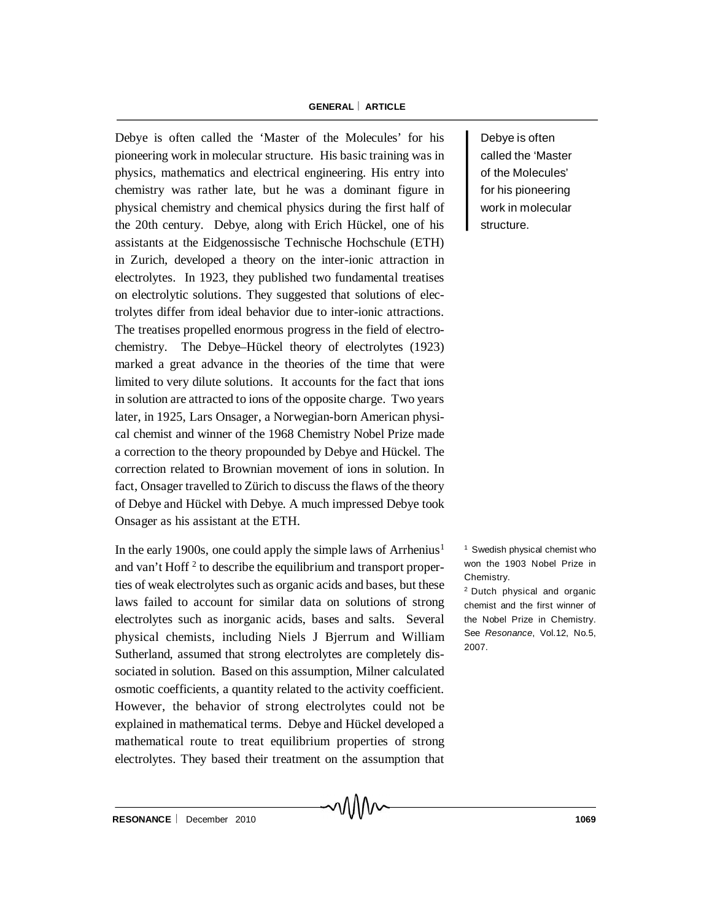#### **GENERAL ARTICLE**

Debye is often called the 'Master of the Molecules' for his pioneering work in molecular structure. His basic training was in physics, mathematics and electrical engineering. His entry into chemistry was rather late, but he was a dominant figure in physical chemistry and chemical physics during the first half of the 20th century. Debye, along with Erich Hückel, one of his assistants at the Eidgenossische Technische Hochschule (ETH) in Zurich, developed a theory on the inter-ionic attraction in electrolytes. In 1923, they published two fundamental treatises on electrolytic solutions. They suggested that solutions of electrolytes differ from ideal behavior due to inter-ionic attractions. The treatises propelled enormous progress in the field of electrochemistry. The Debye–Hückel theory of electrolytes (1923) marked a great advance in the theories of the time that were limited to very dilute solutions. It accounts for the fact that ions in solution are attracted to ions of the opposite charge. Two years later, in 1925, Lars Onsager, a Norwegian-born American physical chemist and winner of the 1968 Chemistry Nobel Prize made a correction to the theory propounded by Debye and Hückel. The correction related to Brownian movement of ions in solution. In fact, Onsager travelled to Zürich to discuss the flaws of the theory of Debye and Hückel with Debye. A much impressed Debye took Onsager as his assistant at the ETH.

In the early 1900s, one could apply the simple laws of Arrhenius<sup>1</sup> and van't Hoff<sup>2</sup> to describe the equilibrium and transport properties of weak electrolytes such as organic acids and bases, but these laws failed to account for similar data on solutions of strong electrolytes such as inorganic acids, bases and salts. Several physical chemists, including Niels J Bjerrum and William Sutherland, assumed that strong electrolytes are completely dissociated in solution. Based on this assumption, Milner calculated osmotic coefficients, a quantity related to the activity coefficient. However, the behavior of strong electrolytes could not be explained in mathematical terms. Debye and Hückel developed a mathematical route to treat equilibrium properties of strong electrolytes. They based their treatment on the assumption that

Debye is often called the 'Master of the Molecules' for his pioneering work in molecular structure.

<sup>1</sup> Swedish physical chemist who won the 1903 Nobel Prize in Chemistry.

<sup>2</sup> Dutch physical and organic chemist and the first winner of the Nobel Prize in Chemistry. See *Resonance*, Vol.12, No.5, 2007.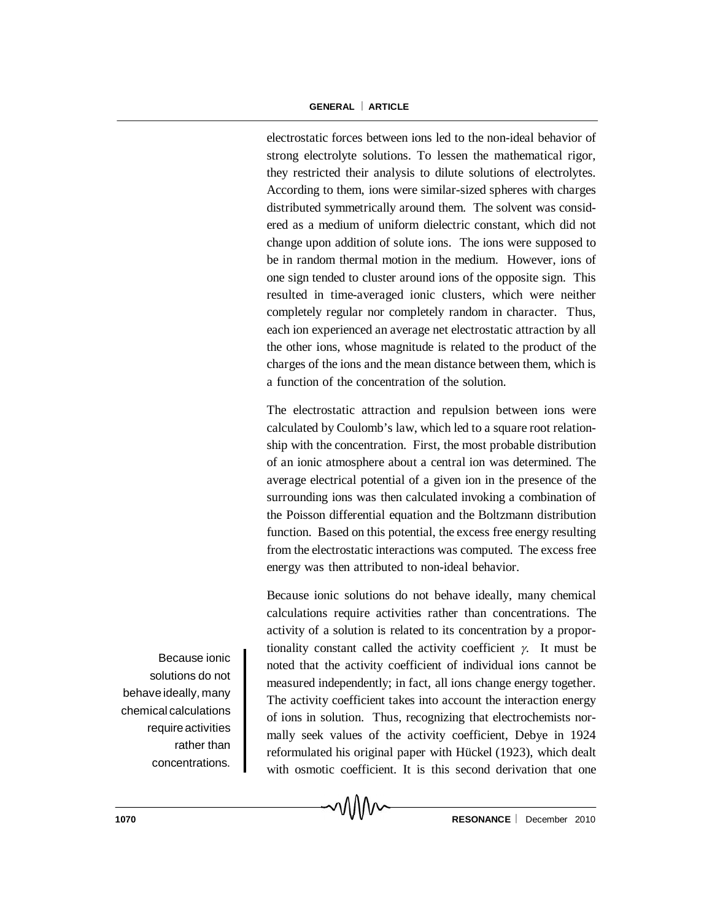#### **GENERAL ARTICLE**

electrostatic forces between ions led to the non-ideal behavior of strong electrolyte solutions. To lessen the mathematical rigor, they restricted their analysis to dilute solutions of electrolytes. According to them, ions were similar-sized spheres with charges distributed symmetrically around them. The solvent was considered as a medium of uniform dielectric constant, which did not change upon addition of solute ions. The ions were supposed to be in random thermal motion in the medium. However, ions of one sign tended to cluster around ions of the opposite sign. This resulted in time-averaged ionic clusters, which were neither completely regular nor completely random in character. Thus, each ion experienced an average net electrostatic attraction by all the other ions, whose magnitude is related to the product of the charges of the ions and the mean distance between them, which is a function of the concentration of the solution.

The electrostatic attraction and repulsion between ions were calculated by Coulomb's law, which led to a square root relationship with the concentration. First, the most probable distribution of an ionic atmosphere about a central ion was determined. The average electrical potential of a given ion in the presence of the surrounding ions was then calculated invoking a combination of the Poisson differential equation and the Boltzmann distribution function. Based on this potential, the excess free energy resulting from the electrostatic interactions was computed. The excess free energy was then attributed to non-ideal behavior.

Because ionic solutions do not behave ideally, many chemical calculations require activities rather than concentrations. The activity of a solution is related to its concentration by a proportionality constant called the activity coefficient  $\gamma$ . It must be noted that the activity coefficient of individual ions cannot be measured independently; in fact, all ions change energy together. The activity coefficient takes into account the interaction energy of ions in solution. Thus, recognizing that electrochemists normally seek values of the activity coefficient, Debye in 1924 reformulated his original paper with Hückel (1923), which dealt with osmotic coefficient. It is this second derivation that one

∧∧∧∧∼

Because ionic solutions do not behaveideally, many chemical calculations require activities rather than concentrations.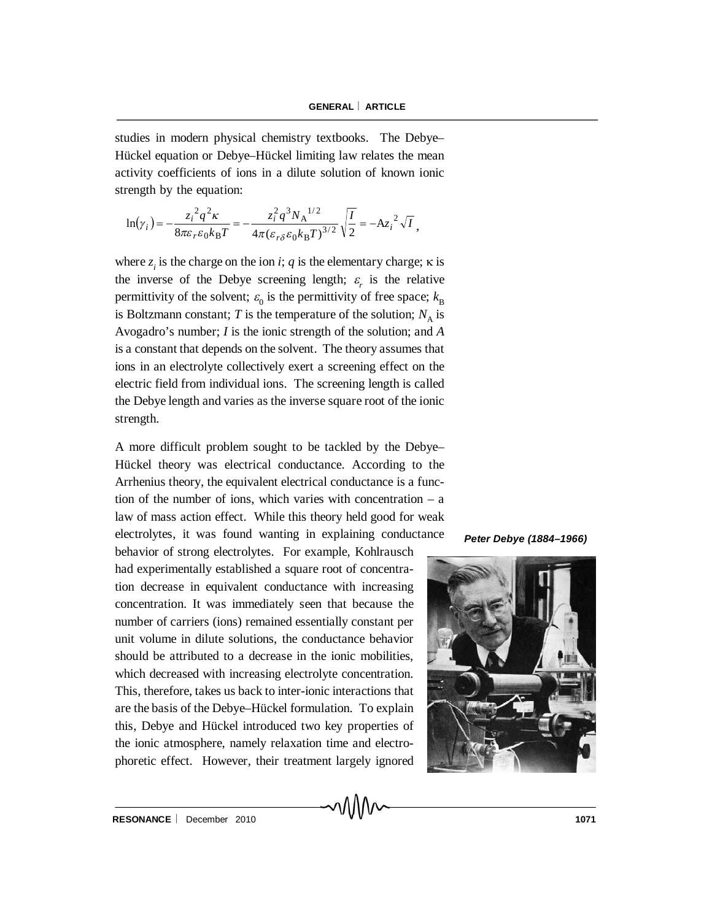studies in modern physical chemistry textbooks. The Debye– Hückel equation or Debye–Hückel limiting law relates the mean activity coefficients of ions in a dilute solution of known ionic strength by the equation:

$$
\ln(\gamma_i) = -\frac{{z_i}^2 q^2 \kappa}{8\pi \varepsilon_r \varepsilon_0 k_B T} = -\frac{z_i^2 q^3 N_A^{1/2}}{4\pi (\varepsilon_r \delta \varepsilon_0 k_B T)^{3/2}} \sqrt{\frac{I}{2}} = -A z_i^2 \sqrt{I},
$$

where  $z_i$  is the charge on the ion *i*; *q* is the elementary charge;  $\kappa$  is the inverse of the Debye screening length;  $\varepsilon$ <sub>r</sub> is the relative permittivity of the solvent;  $\varepsilon_0$  is the permittivity of free space;  $k_B$ is Boltzmann constant;  $T$  is the temperature of the solution;  $N_A$  is Avogadro's number; *I* is the ionic strength of the solution; and *A* is a constant that depends on the solvent. The theory assumes that ions in an electrolyte collectively exert a screening effect on the electric field from individual ions. The screening length is called the Debye length and varies as the inverse square root of the ionic strength.

A more difficult problem sought to be tackled by the Debye– Hückel theory was electrical conductance. According to the Arrhenius theory, the equivalent electrical conductance is a function of the number of ions, which varies with concentration  $- a$ law of mass action effect. While this theory held good for weak electrolytes, it was found wanting in explaining conductance

behavior of strong electrolytes. For example, Kohlrausch had experimentally established a square root of concentration decrease in equivalent conductance with increasing concentration. It was immediately seen that because the number of carriers (ions) remained essentially constant per unit volume in dilute solutions, the conductance behavior should be attributed to a decrease in the ionic mobilities, which decreased with increasing electrolyte concentration. This, therefore, takes us back to inter-ionic interactions that are the basis of the Debye–Hückel formulation. To explain this, Debye and Hückel introduced two key properties of the ionic atmosphere, namely relaxation time and electrophoretic effect. However, their treatment largely ignored

៱៱៱៱